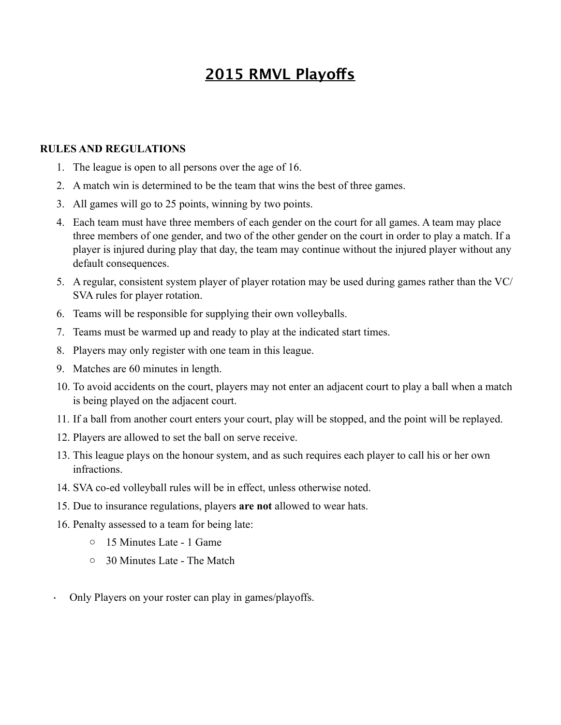## **2015 RMVL Playofs**

#### **RULES AND REGULATIONS**

- 1. The league is open to all persons over the age of 16.
- 2. A match win is determined to be the team that wins the best of three games.
- 3. All games will go to 25 points, winning by two points.
- 4. Each team must have three members of each gender on the court for all games. A team may place three members of one gender, and two of the other gender on the court in order to play a match. If a player is injured during play that day, the team may continue without the injured player without any default consequences.
- 5. A regular, consistent system player of player rotation may be used during games rather than the VC/ SVA rules for player rotation.
- 6. Teams will be responsible for supplying their own volleyballs.
- 7. Teams must be warmed up and ready to play at the indicated start times.
- 8. Players may only register with one team in this league.
- 9. Matches are 60 minutes in length.
- 10. To avoid accidents on the court, players may not enter an adjacent court to play a ball when a match is being played on the adjacent court.
- 11. If a ball from another court enters your court, play will be stopped, and the point will be replayed.
- 12. Players are allowed to set the ball on serve receive.
- 13. This league plays on the honour system, and as such requires each player to call his or her own infractions.
- 14. SVA co-ed volleyball rules will be in effect, unless otherwise noted.
- 15. Due to insurance regulations, players **are not** allowed to wear hats.
- 16. Penalty assessed to a team for being late:
	- o 15 Minutes Late 1 Game
	- o 30 Minutes Late The Match
- · Only Players on your roster can play in games/playoffs.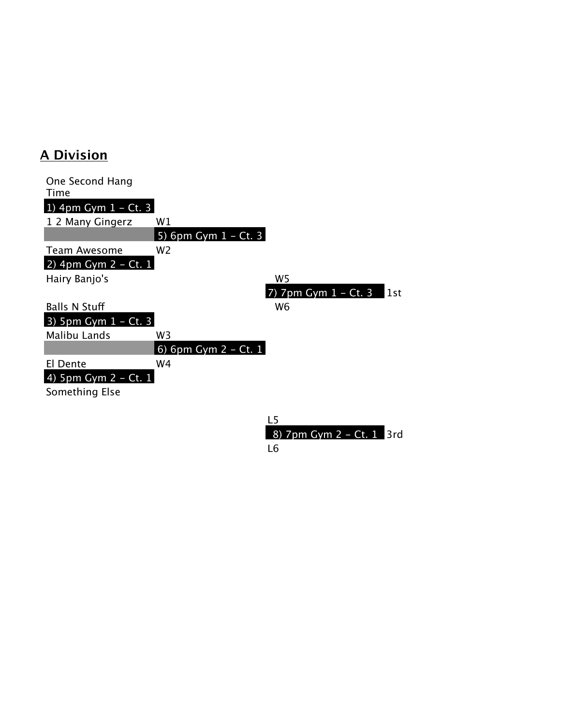### **A Division**

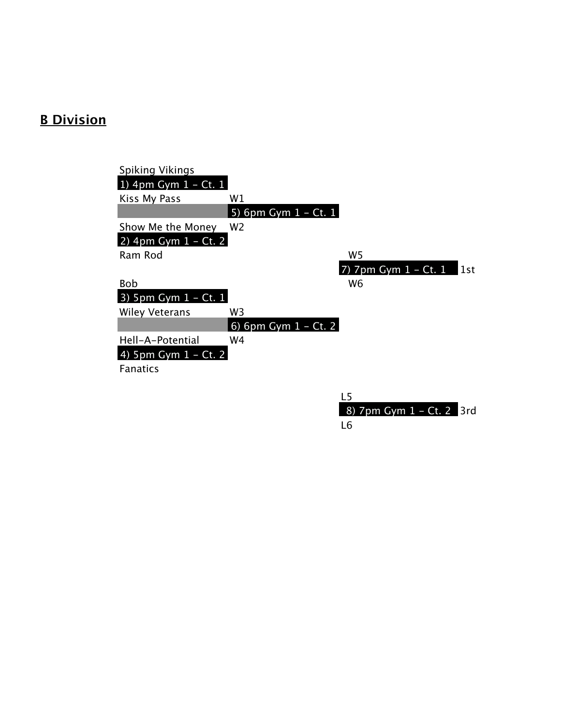# **B Division**

| <b>Spiking Vikings</b>  |                         |                                                                |
|-------------------------|-------------------------|----------------------------------------------------------------|
| 1) 4pm Gym $1 - Ct$ . 1 |                         |                                                                |
| Kiss My Pass            | W1                      |                                                                |
|                         | 5) 6pm Gym $1 - Ct.1$   |                                                                |
| Show Me the Money       | W <sub>2</sub>          |                                                                |
| 2) 4pm Gym $1 - Ct$ . 2 |                         |                                                                |
| Ram Rod                 |                         | W <sub>5</sub>                                                 |
|                         |                         | 7) $7 \text{pm }$ Gym $1 - \text{Ct}$ . $1 - \text{Ct}$<br>1st |
| <b>Bob</b>              |                         | W <sub>6</sub>                                                 |
| 3) 5pm Gym $1 - Ct$ . 1 |                         |                                                                |
| Wiley Veterans          | W3                      |                                                                |
|                         | 6) 6pm Gym $1 - Ct$ . 2 |                                                                |
| Hell-A-Potential        | W4                      |                                                                |
| 4) 5pm Gym $1 - Ct$ . 2 |                         |                                                                |
| <b>Fanatics</b>         |                         |                                                                |
|                         |                         |                                                                |
|                         |                         | 1 5                                                            |

| - 15                     |  |
|--------------------------|--|
| 8) 7pm Gym 1 - Ct. 2 3rd |  |
| L6                       |  |